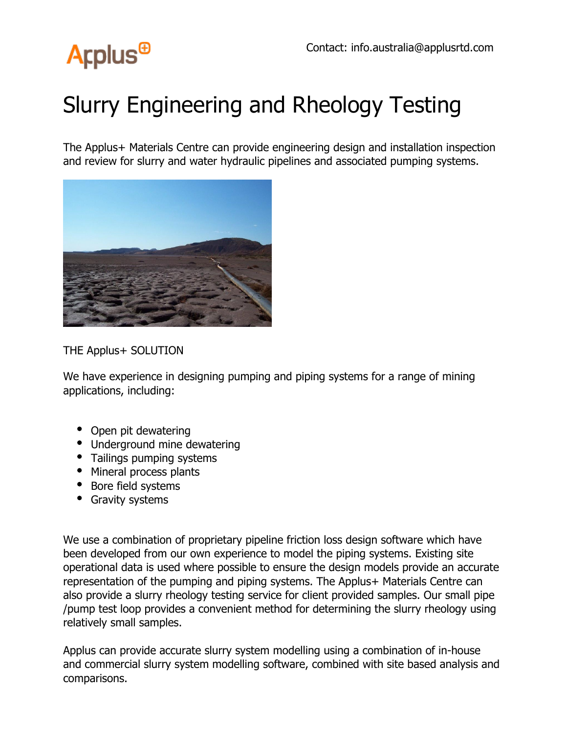

## Slurry Engineering and Rheology Testing

The Applus+ Materials Centre can provide engineering design and installation inspection and review for slurry and water hydraulic pipelines and associated pumping systems.



THE Applus+ SOLUTION

We have experience in designing pumping and piping systems for a range of mining applications, including:

- Open pit dewatering
- Underground mine dewatering
- Tailings pumping systems
- Mineral process plants
- Bore field systems
- Gravity systems

We use a combination of proprietary pipeline friction loss design software which have been developed from our own experience to model the piping systems. Existing site operational data is used where possible to ensure the design models provide an accurate representation of the pumping and piping systems. The Applus+ Materials Centre can also provide a slurry rheology testing service for client provided samples. Our small pipe /pump test loop provides a convenient method for determining the slurry rheology using relatively small samples.

Applus can provide accurate slurry system modelling using a combination of in-house and commercial slurry system modelling software, combined with site based analysis and comparisons.